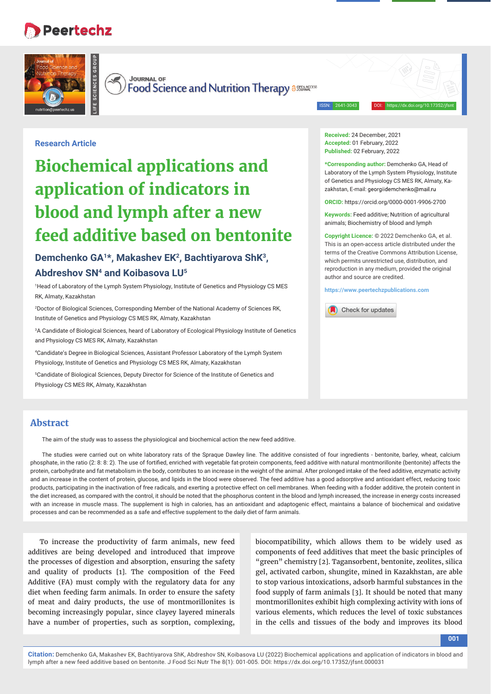## **Peertechz**

**LIFE SCIENCES GROUP**



 $\rightarrow$ **JOURNAL OF** 

Food Science and Nutrition Therapy assured

ISSN: 2641-3043 DOI: https://dx.doi.org/10.17352/jfsnt

## **Research Article**

# **Biochemical applications and application of indicators in blood and lymph after a new feed additive based on bentonite**

## Demchenko GA<sup>1\*</sup>, Makashev EK<sup>2</sup>, Bachtivarova ShK<sup>3</sup>, **Abdreshov SN4 and Koibasova LU5**

1 Head of Laboratory of the Lymph System Physiology, Institute of Genetics and Physiology CS MES RK, Almaty, Kazakhstan

2 Doctor of Biological Sciences, Corresponding Member of the National Academy of Sciences RK, Institute of Genetics and Physiology CS MES RK, Almaty, Kazakhstan

3 A Candidate of Biological Sciences, heard of Laboratory of Ecological Physiology Institute of Genetics and Physiology CS MES RK, Almaty, Kazakhstan

4 Candidate's Degree in Biological Sciences, Assistant Professor Laboratory of the Lymph System Physiology, Institute of Genetics and Physiology CS MES RK, Almaty, Kazakhstan

5 Candidate of Biological Sciences, Deputy Director for Science of the Institute of Genetics and Physiology CS MES RK, Almaty, Kazakhstan

**Received:** 24 December, 2021 **Accepted:** 01 February, 2022 **Published:** 02 February, 2022

**\*Corresponding author:** Demchenko GA, Head of Laboratory of the Lymph System Physiology, Institute of Genetics and Physiology CS MES RK, Almaty, Kazakhstan, E-mail: georgiidemchenko@mail.ru

**ORCID:** https://orcid.org/0000-0001-9906-2700

**Keywords:** Feed additive; Nutrition of agricultural animals; Biochemistry of blood and lymph

**Copyright Licence:** © 2022 Demchenko GA, et al. This is an open-access article distributed under the terms of the Creative Commons Attribution License, which permits unrestricted use, distribution, and reproduction in any medium, provided the original author and source are credited.

**https://www.peertechzpublications.com**



## **Abstract**

The aim of the study was to assess the physiological and biochemical action the new feed additive.

The studies were carried out on white laboratory rats of the Spraque Dawley line. The additive consisted of four ingredients - bentonite, barley, wheat, calcium phosphate, in the ratio (2: 8: 8: 2). The use of fortified, enriched with vegetable fat-protein components, feed additive with natural montmorillonite (bentonite) affects the protein, carbohydrate and fat metabolism in the body, contributes to an increase in the weight of the animal. After prolonged intake of the feed additive, enzymatic activity and an increase in the content of protein, glucose, and lipids in the blood were observed. The feed additive has a good adsorptive and antioxidant effect, reducing toxic products, participating in the inactivation of free radicals, and exerting a protective effect on cell membranes. When feeding with a fodder additive, the protein content in the diet increased, as compared with the control, it should be noted that the phosphorus content in the blood and lymph increased, the increase in energy costs increased with an increase in muscle mass. The supplement is high in calories, has an antioxidant and adaptogenic effect, maintains a balance of biochemical and oxidative processes and can be recommended as a safe and effective supplement to the daily diet of farm animals.

To increase the productivity of farm animals, new feed additives are being developed and introduced that improve the processes of digestion and absorption, ensuring the safety and quality of products [1]. The composition of the Feed Additive (FA) must comply with the regulatory data for any diet when feeding farm animals. In order to ensure the safety of meat and dairy products, the use of montmorillonites is becoming increasingly popular, since clayey layered minerals have a number of properties, such as sorption, complexing,

biocompatibility, which allows them to be widely used as components of feed additives that meet the basic principles of "green" chemistry [2]. Tagansorbent, bentonite, zeolites, silica gel, activated carbon, shungite, mined in Kazakhstan, are able to stop various intoxications, adsorb harmful substances in the food supply of farm animals [3]. It should be noted that many montmorillonites exhibit high complexing activity with ions of various elements, which reduces the level of toxic substances in the cells and tissues of the body and improves its blood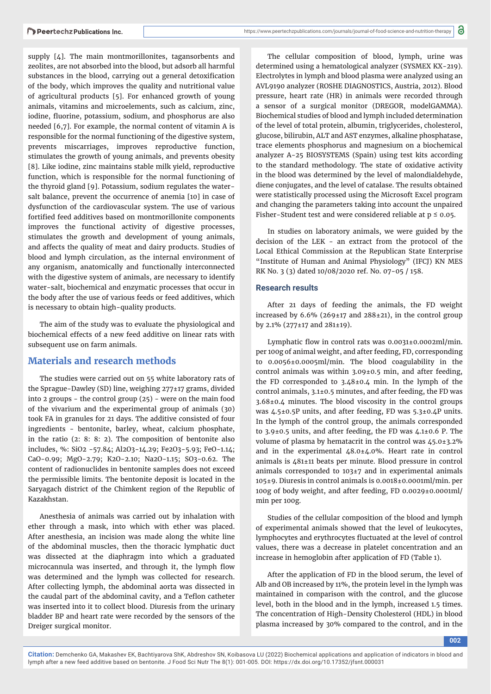supply [4]. The main montmorillonites, tagansorbents and zeolites, are not absorbed into the blood, but adsorb all harmful substances in the blood, carrying out a general detoxification of the body, which improves the quality and nutritional value of agricultural products [5]. For enhanced growth of young animals, vitamins and microelements, such as calcium, zinc, iodine, fluorine, potassium, sodium, and phosphorus are also needed [6,7]. For example, the normal content of vitamin A is responsible for the normal functioning of the digestive system, prevents miscarriages, improves reproductive function, stimulates the growth of young animals, and prevents obesity [8]. Like iodine, zinc maintains stable milk yield, reproductive function, which is responsible for the normal functioning of the thyroid gland [9]. Potassium, sodium regulates the watersalt balance, prevent the occurrence of anemia [10] in case of dysfunction of the cardiovascular system. The use of various fortified feed additives based on montmorillonite components improves the functional activity of digestive processes, stimulates the growth and development of young animals, and affects the quality of meat and dairy products. Studies of blood and lymph circulation, as the internal environment of any organism, anatomically and functionally interconnected with the digestive system of animals, are necessary to identify water-salt, biochemical and enzymatic processes that occur in the body after the use of various feeds or feed additives, which is necessary to obtain high-quality products.

The aim of the study was to evaluate the physiological and biochemical effects of a new feed additive on linear rats with subsequent use on farm animals.

#### **Materials and research methods**

The studies were carried out on 55 white laboratory rats of the Sprague-Dawley (SD) line, weighing 277±17 grams, divided into 2 groups - the control group (25) - were on the main food of the vivarium and the experimental group of animals (30) took FA in granules for 21 days. The additive consisted of four ingredients - bentonite, barley, wheat, calcium phosphate, in the ratio (2: 8: 8: 2). The composition of bentonite also includes, %: SiO2 -57.84; Al2O3-14.29; Fe2O3-5.93; FeO-1.14; CaO-0.99; MgO-2.79; K2O-2.10; Na2O-1.15; SO3-0.62. The content of radionuclides in bentonite samples does not exceed the permissible limits. The bentonite deposit is located in the Saryagach district of the Chimkent region of the Republic of Kazakhstan.

Anesthesia of animals was carried out by inhalation with ether through a mask, into which with ether was placed. After anesthesia, an incision was made along the white line of the abdominal muscles, then the thoracic lymphatic duct was dissected at the diaphragm into which a graduated microcannula was inserted, and through it, the lymph flow was determined and the lymph was collected for research. After collecting lymph, the abdominal aorta was dissected in the caudal part of the abdominal cavity, and a Teflon catheter was inserted into it to collect blood. Diuresis from the urinary bladder BP and heart rate were recorded by the sensors of the Dreiger surgical monitor.

The cellular composition of blood, lymph, urine was determined using a hematological analyzer (SYSMEX KX-219). Electrolytes in lymph and blood plasma were analyzed using an AVL9190 analyzer (ROSHE DIAGNOSTICS, Austria, 2012). Blood pressure, heart rate (HR) in animals were recorded through a sensor of a surgical monitor (DREGOR, modelGAMMA). Biochemical studies of blood and lymph included determination of the level of total protein, albumin, triglycerides, cholesterol, glucose, bilirubin, ALT and AST enzymes, alkaline phosphatase, trace elements phosphorus and magnesium on a biochemical analyzer A-25 BIOSYSTEMS (Spain) using test kits according to the standard methodology. The state of oxidative activity in the blood was determined by the level of malondialdehyde, diene conjugates, and the level of catalase. The results obtained were statistically processed using the Microsoft Excel program and changing the parameters taking into account the unpaired Fisher-Student test and were considered reliable at  $p \le 0.05$ .

In studies on laboratory animals, we were guided by the decision of the LEK - an extract from the protocol of the Local Ethical Commission at the Republican State Enterprise "Institute of Human and Animal Physiology" (IFCJ) KN MES RK No. 3 (3) dated 10/08/2020 ref. No. 07-05 / 158.

#### **Research results**

After 21 days of feeding the animals, the FD weight increased by  $6.6\%$  (269±17 and 288±21), in the control group by 2.1% (277±17 and 281±19).

Lymphatic flow in control rats was  $0.0031\pm0.0002$ ml/min. per 100g of animal weight, and after feeding, FD, corresponding to 0.0056±0.0005ml/min. The blood coagulability in the control animals was within 3.09±0.5 min, and after feeding, the FD corresponded to 3.48±0.4 min. In the lymph of the control animals, 3.1±0.5 minutes, and after feeding, the FD was 3.68±0.4 minutes. The blood viscosity in the control groups was 4.5±0.5P units, and after feeding, FD was 5.3±0.4P units. In the lymph of the control group, the animals corresponded to 3.9±0.5 units, and after feeding, the FD was 4.1±0.6 P. The volume of plasma by hematacrit in the control was 45.0±3.2% and in the experimental 48.0±4.0%. Heart rate in control animals is 481±11 beats per minute. Blood pressure in control animals corresponded to 103±7 and in experimental animals 105±9. Diuresis in control animals is 0.0018±0.0001ml/min. per 100g of body weight, and after feeding, FD 0.0029±0.0001ml/ min per 100g.

Studies of the cellular composition of the blood and lymph of experimental animals showed that the level of leukocytes, lymphocytes and erythrocytes fluctuated at the level of control values, there was a decrease in platelet concentration and an increase in hemoglobin after application of FD (Table 1).

After the application of FD in the blood serum, the level of Alb and OB increased by 11%, the protein level in the lymph was maintained in comparison with the control, and the glucose level, both in the blood and in the lymph, increased 1.5 times. The concentration of High-Density Cholesterol (HDL) in blood plasma increased by 30% compared to the control, and in the

**002**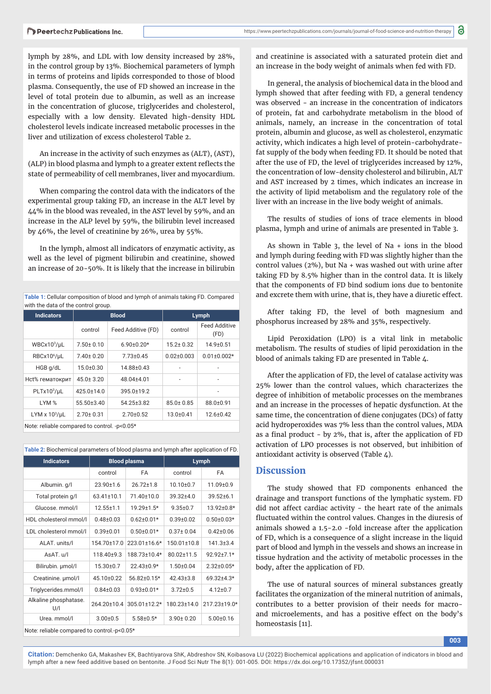lymph by 28%, and LDL with low density increased by 28%, in the control group by 13%. Biochemical parameters of lymph in terms of proteins and lipids corresponded to those of blood plasma. Consequently, the use of FD showed an increase in the level of total protein due to albumin, as well as an increase in the concentration of glucose, triglycerides and cholesterol, especially with a low density. Elevated high-density HDL cholesterol levels indicate increased metabolic processes in the liver and utilization of excess cholesterol Table 2.

An increase in the activity of such enzymes as (ALT), (AST), (ALP) in blood plasma and lymph to a greater extent reflects the state of permeability of cell membranes, liver and myocardium.

When comparing the control data with the indicators of the experimental group taking FD, an increase in the ALT level by 44% in the blood was revealed, in the AST level by 59%, and an increase in the ALP level by 59%, the bilirubin level increased by 46%, the level of creatinine by 26%, urea by 55%.

In the lymph, almost all indicators of enzymatic activity, as well as the level of pigment bilirubin and creatinine, showed an increase of 20-50%. It is likely that the increase in bilirubin

| Table 1: Cellular composition of blood and lymph of animals taking FD. Compared |  |
|---------------------------------------------------------------------------------|--|
| with the data of the control group.                                             |  |

| <b>Indicators</b>         | <b>Blood</b>    |                    |                          | Lymph                        |
|---------------------------|-----------------|--------------------|--------------------------|------------------------------|
|                           | control         | Feed Additive (FD) | control                  | <b>Feed Additive</b><br>(FD) |
| $WBCx10^3/\mu L$          | $7.50 \pm 0.10$ | $6.90 \pm 0.20*$   | $15.2 \pm 0.32$          | $14.9 + 0.51$                |
| RBCx10 <sup>6</sup> /µL   | $7.40 \pm 0.20$ | $7.73 \pm 0.45$    | $0.02 + 0.003$           | $0.01 \pm 0.002*$            |
| HGB g/dL                  | $15.0 + 0.30$   | 14.88±0.43         |                          |                              |
| Hct% гематокрит           | $45.0 \pm 3.20$ | 48.04±4.01         | $\overline{\phantom{a}}$ | -                            |
| PLTx10 <sup>3</sup> /µL   | 425.0±14.0      | 395.0±19.2         |                          |                              |
| LYM <sub>%</sub>          | 55.50±3.40      | $54.25 \pm 3.82$   | $85.0 \pm 0.85$          | 88.0±0.91                    |
| LYM $x$ 10 $^3$ / $\mu$ L | $2.70 \pm 0.31$ | $2.70+0.52$        | $13.0 + 0.41$            | $12.6 \pm 0.42$              |
| .                         |                 |                    |                          |                              |

Note: reliable compared to control. -р<0.05\*

| Table 2: Biochemical parameters of blood plasma and lymph after application of FD. |                     |                    |                   |                  |
|------------------------------------------------------------------------------------|---------------------|--------------------|-------------------|------------------|
| <b>Indicators</b>                                                                  | <b>Blood plasma</b> |                    |                   | <b>Lymph</b>     |
|                                                                                    | control             | FA                 | control           | <b>FA</b>        |
| Albumin. g/l                                                                       | $23.90 \pm 1.6$     | $26.72 \pm 1.8$    | $10.10 \pm 0.7$   | $11.09 \pm 0.9$  |
| Total protein g/l                                                                  | $63.41 \pm 10.1$    | 71.40±10.0         | $39.32 + 4.0$     | $39.52 \pm 6.1$  |
| Glucose, mmol/l                                                                    | $12.55 \pm 1.1$     | 19.29±1.5*         | $9.35 \pm 0.7$    | 13.92±0.8*       |
| HDL cholesterol mmol/l                                                             | $0.48 + 0.03$       | $0.62 \pm 0.01*$   | $0.39 + 0.02$     | $0.50 \pm 0.03*$ |
| LDL cholesterol mmol/l                                                             | $0.39 + 0.01$       | $0.50 \pm 0.01*$   | $0.37 \pm 0.04$   | $0.42 \pm 0.06$  |
| ALAT. units/l                                                                      | 154.70±17.0         | $223.01 \pm 16.6*$ | $150.01 \pm 10.8$ | $141.3 \pm 3.4$  |
| AsAT. u/l                                                                          | 118.40±9.3          | 188.73±10.4*       | 80.02±11.5        | 92.92+7.1*       |
| Bilirubin. µmol/l                                                                  | $15.30 \pm 0.7$     | $22.43 \pm 0.9*$   | $1.50 \pm 0.04$   | $2.32 \pm 0.05*$ |
| Creatinine. µmol/l                                                                 | 45.10±0.22          | 56.82±0.15*        | $42.43 \pm 3.8$   | $69.32 + 4.3*$   |
| Triglycerides.mmol/l                                                               | $0.84 \pm 0.03$     | $0.93 \pm 0.01*$   | $3.72 \pm 0.5$    | $4.12 \pm 0.7$   |
| Alkaline phosphatase.<br>U/I                                                       | 264.20±10.4         | 305.01±12.2*       | 180.23±14.0       | 217.23±19.0*     |
| Urea. mmol/l                                                                       | $3.00 + 0.5$        | $5.58 \pm 0.5*$    | $3.90 \pm 0.20$   | $5.00 \pm 0.16$  |
|                                                                                    |                     |                    |                   |                  |

Note: reliable compared to control.-р<0.05\*

and creatinine is associated with a saturated protein diet and an increase in the body weight of animals when fed with FD.

In general, the analysis of biochemical data in the blood and lymph showed that after feeding with FD, a general tendency was observed - an increase in the concentration of indicators of protein, fat and carbohydrate metabolism in the blood of animals, namely, an increase in the concentration of total protein, albumin and glucose, as well as cholesterol, enzymatic activity, which indicates a high level of protein-carbohydratefat supply of the body when feeding FD. It should be noted that after the use of FD, the level of triglycerides increased by 12%, the concentration of low-density cholesterol and bilirubin, ALT and AST increased by 2 times, which indicates an increase in the activity of lipid metabolism and the regulatory role of the liver with an increase in the live body weight of animals.

The results of studies of ions of trace elements in blood plasma, lymph and urine of animals are presented in Table 3.

As shown in Table 3, the level of Na + ions in the blood and lymph during feeding with FD was slightly higher than the control values (2%), but Na + was washed out with urine after taking FD by 8.5% higher than in the control data. It is likely that the components of FD bind sodium ions due to bentonite and excrete them with urine, that is, they have a diuretic effect.

After taking FD, the level of both magnesium and phosphorus increased by 28% and 35%, respectively.

Lipid Peroxidation (LPO) is a vital link in metabolic metabolism. The results of studies of lipid peroxidation in the blood of animals taking FD are presented in Table 4.

After the application of FD, the level of catalase activity was 25% lower than the control values, which characterizes the degree of inhibition of metabolic processes on the membranes and an increase in the processes of hepatic dysfunction. At the same time, the concentration of diene conjugates (DCs) of fatty acid hydroperoxides was 7% less than the control values, MDA as a final product - by  $2\%$ , that is, after the application of FD activation of LPO processes is not observed, but inhibition of antioxidant activity is observed (Table 4).

### **Discussion**

The study showed that FD components enhanced the drainage and transport functions of the lymphatic system. FD did not affect cardiac activity - the heart rate of the animals fluctuated within the control values. Changes in the diuresis of animals showed a 1.5-2.0 -fold increase after the application of FD, which is a consequence of a slight increase in the liquid part of blood and lymph in the vessels and shows an increase in tissue hydration and the activity of metabolic processes in the body, after the application of FD.

The use of natural sources of mineral substances greatly facilitates the organization of the mineral nutrition of animals, contributes to a better provision of their needs for macroand microelements, and has a positive effect on the body's homeostasis [11].

**003**

**Citation:** Demchenko GA, Makashev EK, Bachtiyarova ShK, Abdreshov SN, Koibasova LU (2022) Biochemical applications and application of indicators in blood and lymph after a new feed additive based on bentonite. J Food Sci Nutr The 8(1): 001-005. DOI: https://dx.doi.org/10.17352/jfsnt.000031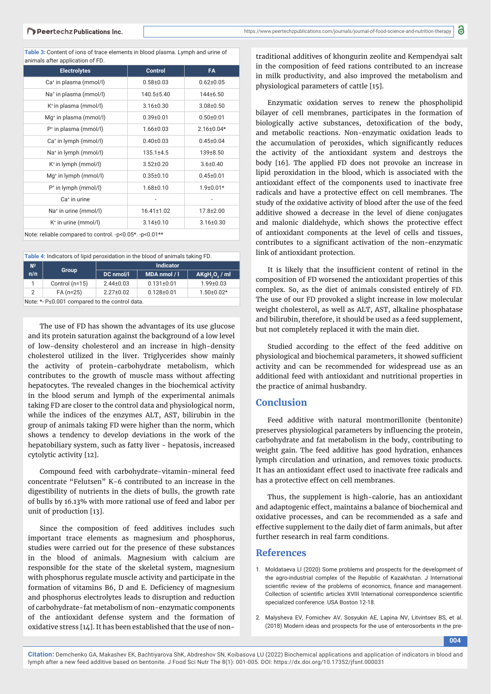**Table 3:** Content of ions of trace elements in blood plasma. Lymph and urine of animals after application of FD.

| <b>Electrolytes</b>                                     | <b>Control</b>  | <b>FA</b>        |  |
|---------------------------------------------------------|-----------------|------------------|--|
| Ca <sup>+</sup> in plasma (mmol/l)                      | $0.58 + 0.03$   | $0.62 \pm 0.05$  |  |
| Na <sup>+</sup> in plasma (mmol/l)                      | 140.5±5.40      | 144±6.50         |  |
| K <sup>+</sup> in plasma (mmol/l)                       | $3.16 \pm 0.30$ | $3.08 \pm 0.50$  |  |
| Mg <sup>+</sup> in plasma (mmol/l)                      | $0.39 \pm 0.01$ | $0.50 \pm 0.01$  |  |
| P <sup>+</sup> in plasma (mmol/l)                       | $1.66 \pm 0.03$ | $2.16 \pm 0.04*$ |  |
| Ca <sup>+</sup> in lymph (mmol/l)                       | $0.40 \pm 0.03$ | $0.45 \pm 0.04$  |  |
| Na <sup>+</sup> in lymph (mmol/l)                       | 135.1±4.5       | 139±8.50         |  |
| $K^+$ in lymph (mmol/l)                                 | $3.52 \pm 0.20$ | $3.6 \pm 0.40$   |  |
| $Mg+$ in lymph (mmol/l)                                 | $0.35 \pm 0.10$ | $0.45 \pm 0.01$  |  |
| $P^+$ in lymph (mmol/l)                                 | $1.68 \pm 0.10$ | $1.9 \pm 0.01*$  |  |
| Ca <sup>+</sup> in urine                                |                 |                  |  |
| Na <sup>+</sup> in urine (mmol/l)                       | 16.41±1.02      | 17.8±2.00        |  |
| K <sup>+</sup> in urine (mmol/l)                        | $3.14 \pm 0.10$ | $3.16 \pm 0.30$  |  |
| Note: reliable compared to control. -p<0.05*. -p<0.01** |                 |                  |  |

**Table 4:** Indicators of lipid peroxidation in the blood of animals taking FD.

| N <sup>2</sup>                                 | <b>Group</b>     | <b>Indicator</b> |                  |                  |  |  |  |
|------------------------------------------------|------------------|------------------|------------------|------------------|--|--|--|
| n/n                                            |                  | DC nmol/l        | MDA nmol / I     | AKgH, O, / ml    |  |  |  |
|                                                | Control $(n=15)$ | $2.44 \pm 0.03$  | $0.131 \pm 0.01$ | $1.99 \pm 0.03$  |  |  |  |
| 2                                              | $FA(n=25)$       | $2.27 \pm 0.02$  | $0.128 \pm 0.01$ | $1.50 \pm 0.02*$ |  |  |  |
| Note: *- P≤0.001 compared to the control data. |                  |                  |                  |                  |  |  |  |

The use of FD has shown the advantages of its use glucose and its protein saturation against the background of a low level of low-density cholesterol and an increase in high-density cholesterol utilized in the liver. Triglycerides show mainly the activity of protein-carbohydrate metabolism, which contributes to the growth of muscle mass without affecting hepatocytes. The revealed changes in the biochemical activity in the blood serum and lymph of the experimental animals taking FD are closer to the control data and physiological norm, while the indices of the enzymes ALT, AST, bilirubin in the group of animals taking FD were higher than the norm, which shows a tendency to develop deviations in the work of the hepatobiliary system, such as fatty liver - hepatosis, increased cytolytic activity [12].

Compound feed with carbohydrate-vitamin-mineral feed concentrate "Felutsen" K-6 contributed to an increase in the digestibility of nutrients in the diets of bulls, the growth rate of bulls by 16.13% with more rational use of feed and labor per unit of production [13].

Since the composition of feed additives includes such important trace elements as magnesium and phosphorus, studies were carried out for the presence of these substances in the blood of animals. Magnesium with calcium are responsible for the state of the skeletal system, magnesium with phosphorus regulate muscle activity and participate in the formation of vitamins B6, D and E. Deficiency of magnesium and phosphorus electrolytes leads to disruption and reduction of carbohydrate-fat metabolism of non-enzymatic components of the antioxidant defense system and the formation of oxidative stress [14]. It has been established that the use of nontraditional additives of khongurin zeolite and Kempendyai salt in the composition of feed rations contributed to an increase in milk productivity, and also improved the metabolism and physiological parameters of cattle [15].

Enzymatic oxidation serves to renew the phospholipid bilayer of cell membranes, participates in the formation of biologically active substances, detoxification of the body, and metabolic reactions. Non-enzymatic oxidation leads to the accumulation of peroxides, which significantly reduces the activity of the antioxidant system and destroys the body [16]. The applied FD does not provoke an increase in lipid peroxidation in the blood, which is associated with the antioxidant effect of the components used to inactivate free radicals and have a protective effect on cell membranes. The study of the oxidative activity of blood after the use of the feed additive showed a decrease in the level of diene conjugates and malonic dialdehyde, which shows the protective effect of antioxidant components at the level of cells and tissues, contributes to a significant activation of the non-enzymatic link of antioxidant protection.

It is likely that the insufficient content of retinol in the composition of FD worsened the antioxidant properties of this complex. So, as the diet of animals consisted entirely of FD. The use of our FD provoked a slight increase in low molecular weight cholesterol, as well as ALT, AST, alkaline phosphatase and bilirubin, therefore, it should be used as a feed supplement, but not completely replaced it with the main diet.

Studied according to the effect of the feed additive on physiological and biochemical parameters, it showed sufficient activity and can be recommended for widespread use as an additional feed with antioxidant and nutritional properties in the practice of animal husbandry.

## **Conclusion**

Feed additive with natural montmorillonite (bentonite) preserves physiological parameters by influencing the protein, carbohydrate and fat metabolism in the body, contributing to weight gain. The feed additive has good hydration, enhances lymph circulation and urination, and removes toxic products. It has an antioxidant effect used to inactivate free radicals and has a protective effect on cell membranes.

Thus, the supplement is high-calorie, has an antioxidant and adaptogenic effect, maintains a balance of biochemical and oxidative processes, and can be recommended as a safe and effective supplement to the daily diet of farm animals, but after further research in real farm conditions.

#### **References**

- 1. Moldataeva LI (2020) Some problems and prospects for the development of the agro-industrial complex of the Republic of Kazakhstan. J International scientific review of the problems of economics, finance and management. Collection of scientific articles XVIII International correspondence scientific specialized conference. USA Boston 12-18.
- 2. Malysheva EV, Fomichev AV, Sosyukin AE, Lapina NV, Litvintsev BS, et al. (2018) Modern ideas and prospects for the use of enterosorbents in the pre-

**004**

**Citation:** Demchenko GA, Makashev EK, Bachtiyarova ShK, Abdreshov SN, Koibasova LU (2022) Biochemical applications and application of indicators in blood and lymph after a new feed additive based on bentonite. J Food Sci Nutr The 8(1): 001-005. DOI: https://dx.doi.org/10.17352/jfsnt.000031